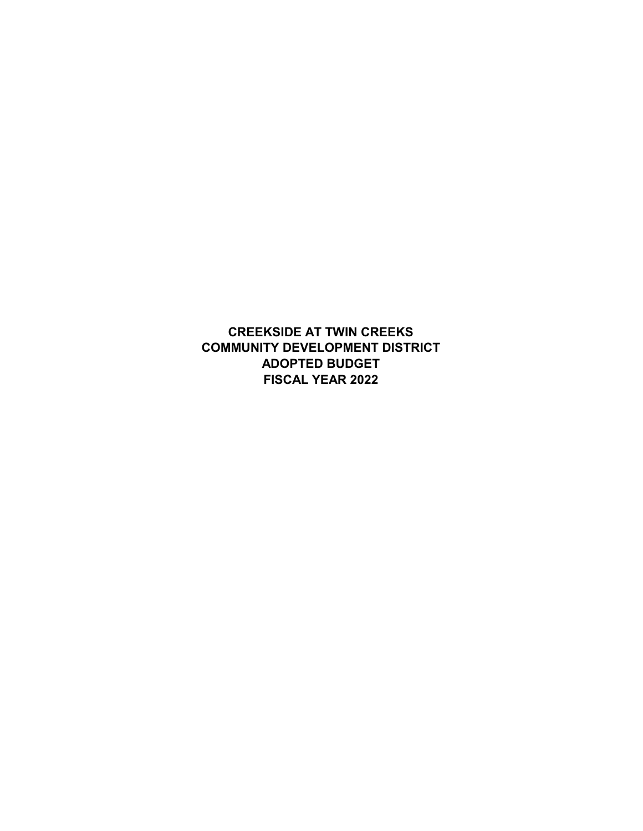**CREEKSIDE AT TWIN CREEKS FISCAL YEAR 2022 ADOPTED BUDGET COMMUNITY DEVELOPMENT DISTRICT**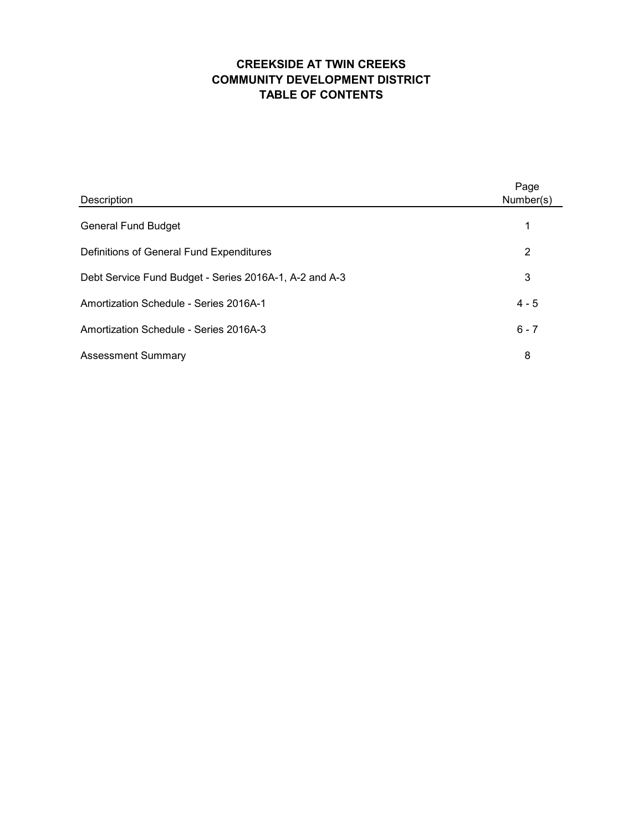# **CREEKSIDE AT TWIN CREEKS COMMUNITY DEVELOPMENT DISTRICT TABLE OF CONTENTS**

| Description                                            | Page<br>Number(s) |
|--------------------------------------------------------|-------------------|
| <b>General Fund Budget</b>                             | 1                 |
| Definitions of General Fund Expenditures               | 2                 |
| Debt Service Fund Budget - Series 2016A-1, A-2 and A-3 | 3                 |
| Amortization Schedule - Series 2016A-1                 | $4 - 5$           |
| Amortization Schedule - Series 2016A-3                 | $6 - 7$           |
| <b>Assessment Summary</b>                              | 8                 |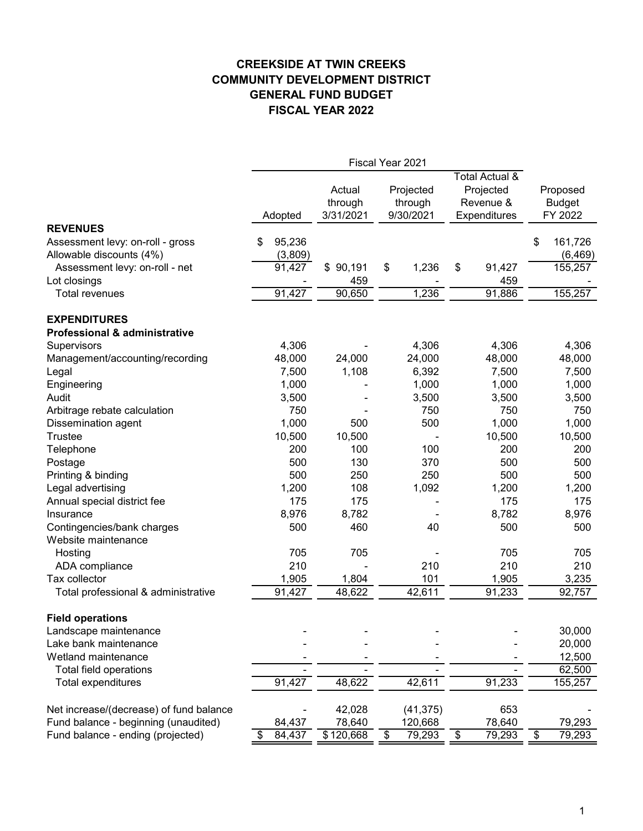# **CREEKSIDE AT TWIN CREEKS COMMUNITY DEVELOPMENT DISTRICT GENERAL FUND BUDGET FISCAL YEAR 2022**

|                                                              |                         |                                | Fiscal Year 2021                  |    |                                                          |    |                                      |  |
|--------------------------------------------------------------|-------------------------|--------------------------------|-----------------------------------|----|----------------------------------------------------------|----|--------------------------------------|--|
|                                                              | Adopted                 | Actual<br>through<br>3/31/2021 | Projected<br>through<br>9/30/2021 |    | Total Actual &<br>Projected<br>Revenue &<br>Expenditures |    | Proposed<br><b>Budget</b><br>FY 2022 |  |
| <b>REVENUES</b>                                              |                         |                                |                                   |    |                                                          |    |                                      |  |
| Assessment levy: on-roll - gross<br>Allowable discounts (4%) | 95,236<br>\$<br>(3,809) |                                |                                   |    |                                                          | \$ | 161,726<br>(6, 469)                  |  |
| Assessment levy: on-roll - net                               | 91,427                  | 90,191<br>\$                   | \$<br>1,236                       | \$ | 91,427                                                   |    | 155,257                              |  |
| Lot closings                                                 |                         | 459                            |                                   |    | 459                                                      |    |                                      |  |
| Total revenues                                               | 91,427                  | 90,650                         | 1,236                             |    | 91,886                                                   |    | 155,257                              |  |
| <b>EXPENDITURES</b>                                          |                         |                                |                                   |    |                                                          |    |                                      |  |
| <b>Professional &amp; administrative</b>                     |                         |                                |                                   |    |                                                          |    |                                      |  |
| Supervisors                                                  | 4,306                   |                                | 4,306                             |    | 4,306                                                    |    | 4,306                                |  |
| Management/accounting/recording                              | 48,000                  | 24,000                         | 24,000                            |    | 48,000                                                   |    | 48,000                               |  |
| Legal                                                        | 7,500                   | 1,108                          | 6,392                             |    | 7,500                                                    |    | 7,500                                |  |
| Engineering                                                  | 1,000                   |                                | 1,000                             |    | 1,000                                                    |    | 1,000                                |  |
| Audit                                                        | 3,500                   |                                | 3,500                             |    | 3,500                                                    |    | 3,500                                |  |
| Arbitrage rebate calculation                                 |                         | 750                            | 750                               |    | 750                                                      |    | 750                                  |  |
| Dissemination agent                                          | 1,000                   | 500                            | 500                               |    | 1,000                                                    |    | 1,000                                |  |
| <b>Trustee</b>                                               | 10,500                  | 10,500                         |                                   |    | 10,500                                                   |    | 10,500                               |  |
| Telephone                                                    |                         | 200<br>100                     | 100                               |    | 200                                                      |    | 200                                  |  |
| Postage                                                      |                         | 500<br>130                     | 370                               |    | 500                                                      |    | 500                                  |  |
| Printing & binding                                           |                         | 500<br>250                     | 250                               |    | 500                                                      |    | 500                                  |  |
| Legal advertising                                            | 1,200                   | 108                            | 1,092                             |    | 1,200                                                    |    | 1,200                                |  |
| Annual special district fee                                  |                         | 175<br>175                     |                                   |    | 175                                                      |    | 175                                  |  |
| Insurance                                                    | 8,976                   | 8,782                          |                                   |    | 8,782                                                    |    | 8,976                                |  |
| Contingencies/bank charges<br>Website maintenance            |                         | 500<br>460                     |                                   | 40 | 500                                                      |    | 500                                  |  |
| Hosting                                                      |                         | 705<br>705                     |                                   |    | 705                                                      |    | 705                                  |  |
| ADA compliance                                               |                         | 210                            | 210                               |    | 210                                                      |    | 210                                  |  |
| Tax collector                                                | 1,905                   | 1,804                          | 101                               |    | 1,905                                                    |    | 3,235                                |  |
| Total professional & administrative                          | 91,427                  | 48,622                         | 42,611                            |    | 91,233                                                   |    | 92,757                               |  |
| <b>Field operations</b>                                      |                         |                                |                                   |    |                                                          |    |                                      |  |
| Landscape maintenance                                        |                         |                                |                                   |    |                                                          |    | 30,000                               |  |
| Lake bank maintenance                                        |                         |                                |                                   |    |                                                          |    | 20,000                               |  |
| Wetland maintenance                                          |                         |                                |                                   |    |                                                          |    | 12,500                               |  |
| Total field operations                                       |                         |                                |                                   |    |                                                          |    | 62,500                               |  |
| Total expenditures                                           | 91,427                  | 48,622                         | 42,611                            |    | 91,233                                                   |    | 155,257                              |  |
| Net increase/(decrease) of fund balance                      |                         | 42,028                         | (41, 375)                         |    | 653                                                      |    |                                      |  |
| Fund balance - beginning (unaudited)                         | 84,437                  | 78,640                         | 120,668                           |    | 78,640                                                   |    | 79,293                               |  |
| Fund balance - ending (projected)                            | 84,437<br>\$            | \$120,668                      | 79,293<br>\$                      | \$ | 79,293                                                   | \$ | 79,293                               |  |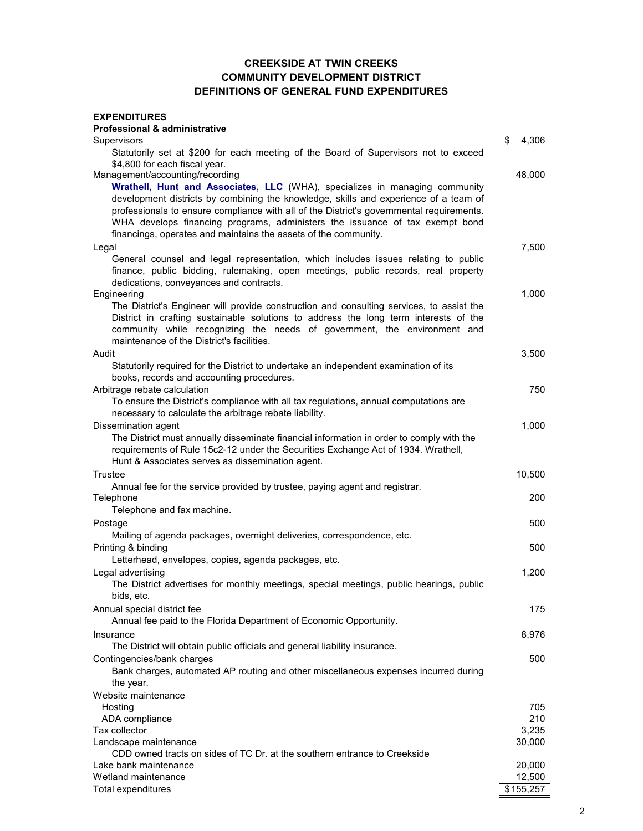#### **CREEKSIDE AT TWIN CREEKS COMMUNITY DEVELOPMENT DISTRICT DEFINITIONS OF GENERAL FUND EXPENDITURES**

| <b>EXPENDITURES</b><br><b>Professional &amp; administrative</b>                                                                                                                                                                                                                                                                                                                                                    |                  |
|--------------------------------------------------------------------------------------------------------------------------------------------------------------------------------------------------------------------------------------------------------------------------------------------------------------------------------------------------------------------------------------------------------------------|------------------|
| Supervisors                                                                                                                                                                                                                                                                                                                                                                                                        | \$<br>4,306      |
| Statutorily set at \$200 for each meeting of the Board of Supervisors not to exceed<br>\$4,800 for each fiscal year.                                                                                                                                                                                                                                                                                               |                  |
| Management/accounting/recording                                                                                                                                                                                                                                                                                                                                                                                    | 48,000           |
| Wrathell, Hunt and Associates, LLC (WHA), specializes in managing community<br>development districts by combining the knowledge, skills and experience of a team of<br>professionals to ensure compliance with all of the District's governmental requirements.<br>WHA develops financing programs, administers the issuance of tax exempt bond<br>financings, operates and maintains the assets of the community. |                  |
| Legal                                                                                                                                                                                                                                                                                                                                                                                                              | 7,500            |
| General counsel and legal representation, which includes issues relating to public<br>finance, public bidding, rulemaking, open meetings, public records, real property<br>dedications, conveyances and contracts.                                                                                                                                                                                                 |                  |
| Engineering                                                                                                                                                                                                                                                                                                                                                                                                        | 1,000            |
| The District's Engineer will provide construction and consulting services, to assist the<br>District in crafting sustainable solutions to address the long term interests of the<br>community while recognizing the needs of government, the environment and<br>maintenance of the District's facilities.                                                                                                          |                  |
| Audit                                                                                                                                                                                                                                                                                                                                                                                                              | 3,500            |
| Statutorily required for the District to undertake an independent examination of its<br>books, records and accounting procedures.                                                                                                                                                                                                                                                                                  |                  |
| Arbitrage rebate calculation                                                                                                                                                                                                                                                                                                                                                                                       | 750              |
| To ensure the District's compliance with all tax regulations, annual computations are<br>necessary to calculate the arbitrage rebate liability.                                                                                                                                                                                                                                                                    |                  |
| Dissemination agent                                                                                                                                                                                                                                                                                                                                                                                                | 1,000            |
| The District must annually disseminate financial information in order to comply with the<br>requirements of Rule 15c2-12 under the Securities Exchange Act of 1934. Wrathell,<br>Hunt & Associates serves as dissemination agent.                                                                                                                                                                                  |                  |
| Trustee                                                                                                                                                                                                                                                                                                                                                                                                            | 10,500           |
| Annual fee for the service provided by trustee, paying agent and registrar.                                                                                                                                                                                                                                                                                                                                        |                  |
| Telephone                                                                                                                                                                                                                                                                                                                                                                                                          | 200              |
| Telephone and fax machine.                                                                                                                                                                                                                                                                                                                                                                                         |                  |
| Postage<br>Mailing of agenda packages, overnight deliveries, correspondence, etc.                                                                                                                                                                                                                                                                                                                                  | 500              |
| Printing & binding                                                                                                                                                                                                                                                                                                                                                                                                 | 500              |
| Letterhead, envelopes, copies, agenda packages, etc.                                                                                                                                                                                                                                                                                                                                                               |                  |
| Legal advertising<br>The District advertises for monthly meetings, special meetings, public hearings, public<br>bids, etc.                                                                                                                                                                                                                                                                                         | 1,200            |
| Annual special district fee                                                                                                                                                                                                                                                                                                                                                                                        | 175              |
| Annual fee paid to the Florida Department of Economic Opportunity.                                                                                                                                                                                                                                                                                                                                                 |                  |
| Insurance<br>The District will obtain public officials and general liability insurance.                                                                                                                                                                                                                                                                                                                            | 8,976            |
| Contingencies/bank charges<br>Bank charges, automated AP routing and other miscellaneous expenses incurred during<br>the year.                                                                                                                                                                                                                                                                                     | 500              |
| Website maintenance                                                                                                                                                                                                                                                                                                                                                                                                |                  |
| Hosting                                                                                                                                                                                                                                                                                                                                                                                                            | 705              |
| ADA compliance<br>Tax collector                                                                                                                                                                                                                                                                                                                                                                                    | 210<br>3,235     |
| Landscape maintenance                                                                                                                                                                                                                                                                                                                                                                                              | 30,000           |
| CDD owned tracts on sides of TC Dr. at the southern entrance to Creekside                                                                                                                                                                                                                                                                                                                                          |                  |
| Lake bank maintenance<br>Wetland maintenance                                                                                                                                                                                                                                                                                                                                                                       | 20,000<br>12,500 |
| Total expenditures                                                                                                                                                                                                                                                                                                                                                                                                 | \$155,257        |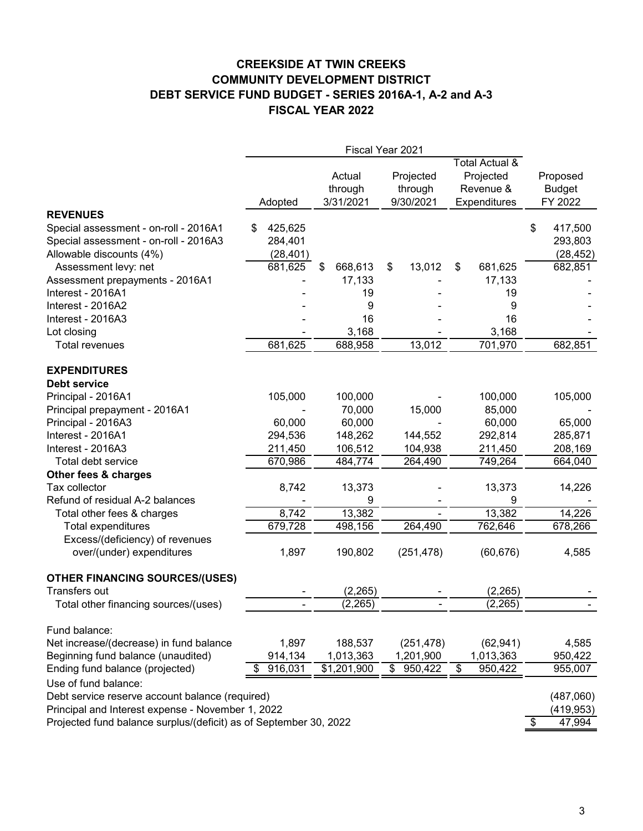# **CREEKSIDE AT TWIN CREEKS COMMUNITY DEVELOPMENT DISTRICT DEBT SERVICE FUND BUDGET - SERIES 2016A-1, A-2 and A-3 FISCAL YEAR 2022**

|                                                                                                            | Fiscal Year 2021                     |                                |                                   |                                                          |                                       |  |  |  |
|------------------------------------------------------------------------------------------------------------|--------------------------------------|--------------------------------|-----------------------------------|----------------------------------------------------------|---------------------------------------|--|--|--|
|                                                                                                            | Adopted                              | Actual<br>through<br>3/31/2021 | Projected<br>through<br>9/30/2021 | Total Actual &<br>Projected<br>Revenue &<br>Expenditures | Proposed<br><b>Budget</b><br>FY 2022  |  |  |  |
| <b>REVENUES</b>                                                                                            |                                      |                                |                                   |                                                          |                                       |  |  |  |
| Special assessment - on-roll - 2016A1<br>Special assessment - on-roll - 2016A3<br>Allowable discounts (4%) | 425,625<br>S<br>284,401<br>(28, 401) |                                |                                   |                                                          | \$<br>417,500<br>293,803<br>(28, 452) |  |  |  |
| Assessment levy: net<br>Assessment prepayments - 2016A1                                                    | 681,625                              | 668,613<br>\$<br>17,133        | 13,012<br>\$                      | \$<br>681,625<br>17,133                                  | 682,851                               |  |  |  |
| Interest - 2016A1                                                                                          |                                      | 19                             |                                   | 19                                                       |                                       |  |  |  |
| Interest - 2016A2                                                                                          |                                      | 9                              |                                   | 9                                                        |                                       |  |  |  |
| Interest - 2016A3                                                                                          |                                      | 16                             |                                   | 16                                                       |                                       |  |  |  |
| Lot closing                                                                                                |                                      | 3,168                          |                                   | 3,168                                                    |                                       |  |  |  |
| Total revenues                                                                                             | 681,625                              | 688,958                        | 13,012                            | 701,970                                                  | 682,851                               |  |  |  |
| <b>EXPENDITURES</b><br>Debt service                                                                        |                                      |                                |                                   |                                                          |                                       |  |  |  |
| Principal - 2016A1                                                                                         | 105,000                              | 100,000                        |                                   | 100,000                                                  | 105,000                               |  |  |  |
| Principal prepayment - 2016A1                                                                              |                                      | 70,000                         | 15,000                            | 85,000                                                   |                                       |  |  |  |
| Principal - 2016A3                                                                                         | 60,000                               | 60,000                         |                                   | 60,000                                                   | 65,000                                |  |  |  |
| Interest - 2016A1                                                                                          | 294,536                              | 148,262                        | 144,552                           | 292,814                                                  | 285,871                               |  |  |  |
| Interest - 2016A3                                                                                          | 211,450                              | 106,512                        | 104,938                           | 211,450                                                  | 208,169                               |  |  |  |
| Total debt service                                                                                         | 670,986                              | 484,774                        | 264,490                           | 749,264                                                  | 664,040                               |  |  |  |
| Other fees & charges                                                                                       |                                      |                                |                                   |                                                          |                                       |  |  |  |
| Tax collector                                                                                              | 8,742                                | 13,373                         |                                   | 13,373                                                   | 14,226                                |  |  |  |
| Refund of residual A-2 balances                                                                            |                                      | 9                              |                                   | 9                                                        |                                       |  |  |  |
| Total other fees & charges                                                                                 | 8,742                                | 13,382                         |                                   | 13,382                                                   | 14,226                                |  |  |  |
| Total expenditures                                                                                         | 679,728                              | 498,156                        | 264,490                           | 762,646                                                  | 678,266                               |  |  |  |
| Excess/(deficiency) of revenues<br>over/(under) expenditures                                               | 1,897                                | 190,802                        | (251, 478)                        | (60, 676)                                                | 4,585                                 |  |  |  |
| <b>OTHER FINANCING SOURCES/(USES)</b>                                                                      |                                      |                                |                                   |                                                          |                                       |  |  |  |
| Transfers out                                                                                              |                                      | (2, 265)                       |                                   | (2, 265)                                                 |                                       |  |  |  |
| Total other financing sources/(uses)                                                                       |                                      | (2, 265)                       | $\qquad \qquad \blacksquare$      | (2, 265)                                                 |                                       |  |  |  |
| Fund balance:                                                                                              |                                      |                                |                                   |                                                          |                                       |  |  |  |
| Net increase/(decrease) in fund balance                                                                    | 1,897                                | 188,537                        | (251, 478)                        | (62, 941)                                                | 4,585                                 |  |  |  |
| Beginning fund balance (unaudited)                                                                         | 914,134                              | 1,013,363                      | 1,201,900                         | 1,013,363                                                | 950,422                               |  |  |  |
| Ending fund balance (projected)                                                                            | 916,031                              | $\overline{1,201,900}$         | $\frac{1}{2}$<br>950,422          | $\overline{\mathcal{G}}$<br>950,422                      | 955,007                               |  |  |  |
| Use of fund balance:                                                                                       |                                      |                                |                                   |                                                          |                                       |  |  |  |
| Debt service reserve account balance (required)                                                            |                                      |                                |                                   |                                                          | (487,060)                             |  |  |  |
| Principal and Interest expense - November 1, 2022                                                          |                                      |                                |                                   |                                                          | (419, 953)                            |  |  |  |
| Projected fund balance surplus/(deficit) as of September 30, 2022                                          |                                      |                                |                                   |                                                          | \$<br>47,994                          |  |  |  |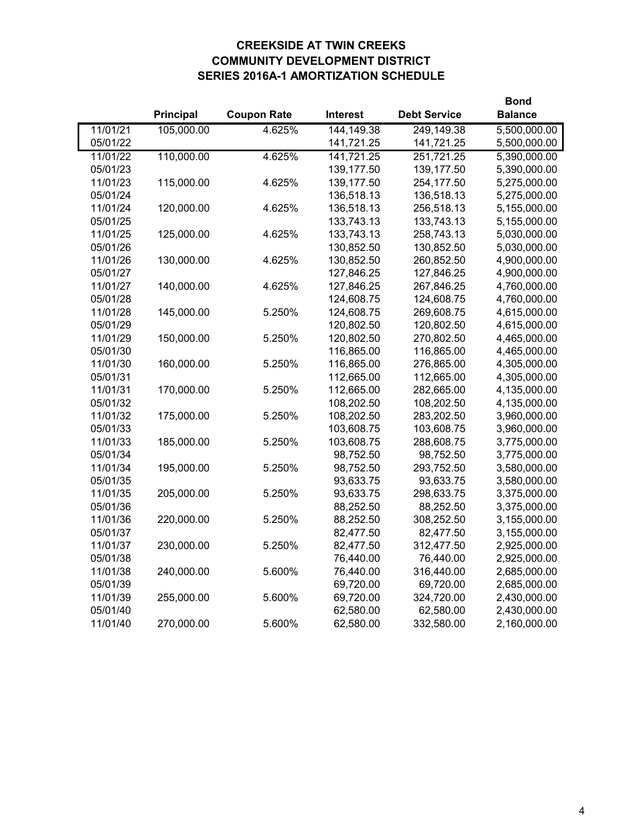# **CREEKSIDE AT TWIN CREEKS COMMUNITY DEVELOPMENT DISTRICT SERIES 2016A-1 AMORTIZATION SCHEDULE**

|          |            |                    |                 | <b>Bond</b>         |                |
|----------|------------|--------------------|-----------------|---------------------|----------------|
|          | Principal  | <b>Coupon Rate</b> | <b>Interest</b> | <b>Debt Service</b> | <b>Balance</b> |
| 11/01/21 | 105,000.00 | 4.625%             | 144,149.38      | 249,149.38          | 5,500,000.00   |
| 05/01/22 |            |                    | 141,721.25      | 141,721.25          | 5,500,000.00   |
| 11/01/22 | 110,000.00 | 4.625%             | 141,721.25      | 251,721.25          | 5,390,000.00   |
| 05/01/23 |            |                    | 139,177.50      | 139,177.50          | 5,390,000.00   |
| 11/01/23 | 115,000.00 | 4.625%             | 139,177.50      | 254,177.50          | 5,275,000.00   |
| 05/01/24 |            |                    | 136,518.13      | 136,518.13          | 5,275,000.00   |
| 11/01/24 | 120,000.00 | 4.625%             | 136,518.13      | 256,518.13          | 5,155,000.00   |
| 05/01/25 |            |                    | 133,743.13      | 133,743.13          | 5,155,000.00   |
| 11/01/25 | 125,000.00 | 4.625%             | 133,743.13      | 258,743.13          | 5,030,000.00   |
| 05/01/26 |            |                    | 130,852.50      | 130,852.50          | 5,030,000.00   |
| 11/01/26 | 130,000.00 | 4.625%             | 130,852.50      | 260,852.50          | 4,900,000.00   |
| 05/01/27 |            |                    | 127,846.25      | 127,846.25          | 4,900,000.00   |
| 11/01/27 | 140,000.00 | 4.625%             | 127,846.25      | 267,846.25          | 4,760,000.00   |
| 05/01/28 |            |                    | 124,608.75      | 124,608.75          | 4,760,000.00   |
| 11/01/28 | 145,000.00 | 5.250%             | 124,608.75      | 269,608.75          | 4,615,000.00   |
| 05/01/29 |            |                    | 120,802.50      | 120,802.50          | 4,615,000.00   |
| 11/01/29 | 150,000.00 | 5.250%             | 120,802.50      | 270,802.50          | 4,465,000.00   |
| 05/01/30 |            |                    | 116,865.00      | 116,865.00          | 4,465,000.00   |
| 11/01/30 | 160,000.00 | 5.250%             | 116,865.00      | 276,865.00          | 4,305,000.00   |
| 05/01/31 |            |                    | 112,665.00      | 112,665.00          | 4,305,000.00   |
| 11/01/31 | 170,000.00 | 5.250%             | 112,665.00      | 282,665.00          | 4,135,000.00   |
| 05/01/32 |            |                    | 108,202.50      | 108,202.50          | 4,135,000.00   |
| 11/01/32 | 175,000.00 | 5.250%             | 108,202.50      | 283,202.50          | 3,960,000.00   |
| 05/01/33 |            |                    | 103,608.75      | 103,608.75          | 3,960,000.00   |
| 11/01/33 | 185,000.00 | 5.250%             | 103,608.75      | 288,608.75          | 3,775,000.00   |
| 05/01/34 |            |                    | 98,752.50       | 98,752.50           | 3,775,000.00   |
| 11/01/34 | 195,000.00 | 5.250%             | 98,752.50       | 293,752.50          | 3,580,000.00   |
| 05/01/35 |            |                    | 93,633.75       | 93,633.75           | 3,580,000.00   |
| 11/01/35 | 205,000.00 | 5.250%             | 93,633.75       | 298,633.75          | 3,375,000.00   |
| 05/01/36 |            |                    | 88,252.50       | 88,252.50           | 3,375,000.00   |
| 11/01/36 | 220,000.00 | 5.250%             | 88,252.50       | 308,252.50          | 3,155,000.00   |
| 05/01/37 |            |                    | 82,477.50       | 82,477.50           | 3,155,000.00   |
| 11/01/37 | 230,000.00 | 5.250%             | 82,477.50       | 312,477.50          | 2,925,000.00   |
| 05/01/38 |            |                    | 76,440.00       | 76,440.00           | 2,925,000.00   |
| 11/01/38 | 240,000.00 | 5.600%             | 76,440.00       | 316,440.00          | 2,685,000.00   |
| 05/01/39 |            |                    | 69,720.00       | 69,720.00           | 2,685,000.00   |
| 11/01/39 | 255,000.00 | 5.600%             | 69,720.00       | 324,720.00          | 2,430,000.00   |
| 05/01/40 |            |                    | 62,580.00       | 62,580.00           | 2,430,000.00   |
| 11/01/40 | 270,000.00 | 5.600%             | 62,580.00       | 332,580.00          | 2,160,000.00   |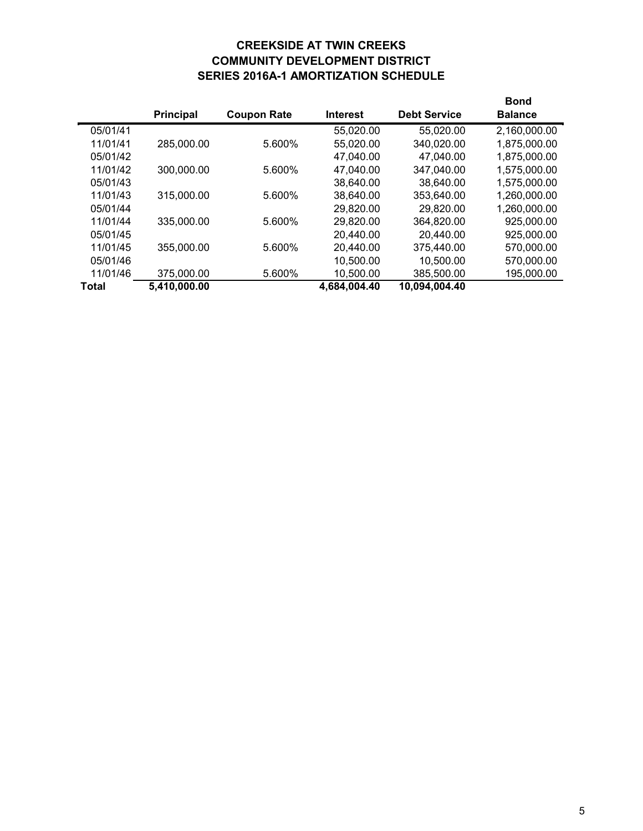# **CREEKSIDE AT TWIN CREEKS COMMUNITY DEVELOPMENT DISTRICT SERIES 2016A-1 AMORTIZATION SCHEDULE**

|          |                  |                    |                 |                     | Bond           |
|----------|------------------|--------------------|-----------------|---------------------|----------------|
|          | <b>Principal</b> | <b>Coupon Rate</b> | <b>Interest</b> | <b>Debt Service</b> | <b>Balance</b> |
| 05/01/41 |                  |                    | 55,020.00       | 55,020.00           | 2,160,000.00   |
| 11/01/41 | 285,000.00       | 5.600%             | 55,020.00       | 340,020.00          | 1,875,000.00   |
| 05/01/42 |                  |                    | 47,040.00       | 47,040.00           | 1,875,000.00   |
| 11/01/42 | 300,000.00       | 5.600%             | 47,040.00       | 347,040.00          | 1,575,000.00   |
| 05/01/43 |                  |                    | 38,640.00       | 38,640.00           | 1,575,000.00   |
| 11/01/43 | 315,000.00       | 5.600%             | 38,640.00       | 353,640.00          | 1,260,000.00   |
| 05/01/44 |                  |                    | 29,820.00       | 29,820.00           | 1,260,000.00   |
| 11/01/44 | 335,000.00       | 5.600%             | 29,820.00       | 364.820.00          | 925.000.00     |
| 05/01/45 |                  |                    | 20,440.00       | 20,440.00           | 925,000.00     |
| 11/01/45 | 355,000.00       | 5.600%             | 20,440.00       | 375.440.00          | 570.000.00     |
| 05/01/46 |                  |                    | 10,500.00       | 10,500.00           | 570,000.00     |
| 11/01/46 | 375,000.00       | 5.600%             | 10,500.00       | 385,500.00          | 195,000.00     |
| Total    | 5,410,000.00     |                    | 4,684,004.40    | 10,094,004.40       |                |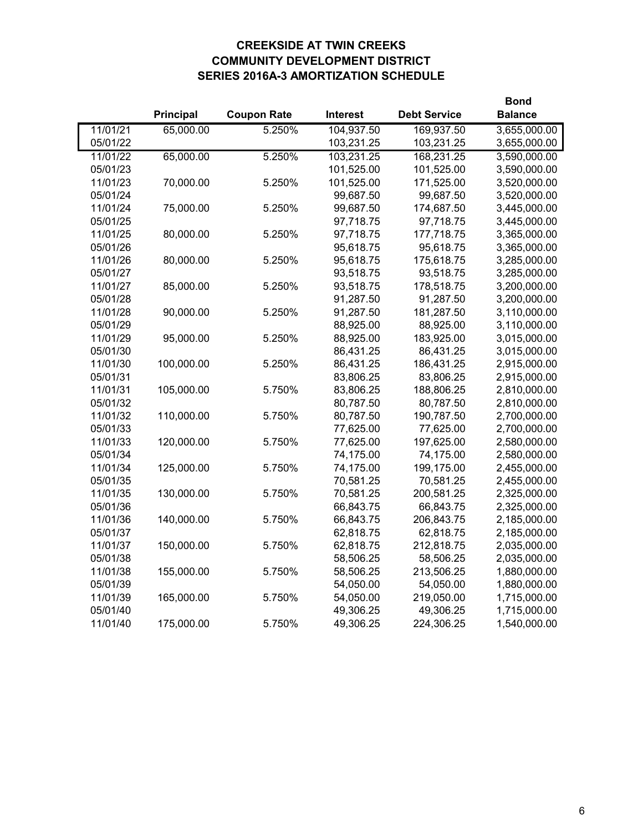# **CREEKSIDE AT TWIN CREEKS COMMUNITY DEVELOPMENT DISTRICT SERIES 2016A-3 AMORTIZATION SCHEDULE**

|          |                  |                    |                 | <b>Bond</b>         |                |
|----------|------------------|--------------------|-----------------|---------------------|----------------|
|          | <b>Principal</b> | <b>Coupon Rate</b> | <b>Interest</b> | <b>Debt Service</b> | <b>Balance</b> |
| 11/01/21 | 65,000.00        | 5.250%             | 104,937.50      | 169,937.50          | 3,655,000.00   |
| 05/01/22 |                  |                    | 103,231.25      | 103,231.25          | 3,655,000.00   |
| 11/01/22 | 65,000.00        | 5.250%             | 103,231.25      | 168,231.25          | 3,590,000.00   |
| 05/01/23 |                  |                    | 101,525.00      | 101,525.00          | 3,590,000.00   |
| 11/01/23 | 70,000.00        | 5.250%             | 101,525.00      | 171,525.00          | 3,520,000.00   |
| 05/01/24 |                  |                    | 99,687.50       | 99,687.50           | 3,520,000.00   |
| 11/01/24 | 75,000.00        | 5.250%             | 99,687.50       | 174,687.50          | 3,445,000.00   |
| 05/01/25 |                  |                    | 97,718.75       | 97,718.75           | 3,445,000.00   |
| 11/01/25 | 80,000.00        | 5.250%             | 97,718.75       | 177,718.75          | 3,365,000.00   |
| 05/01/26 |                  |                    | 95,618.75       | 95,618.75           | 3,365,000.00   |
| 11/01/26 | 80,000.00        | 5.250%             | 95,618.75       | 175,618.75          | 3,285,000.00   |
| 05/01/27 |                  |                    | 93,518.75       | 93,518.75           | 3,285,000.00   |
| 11/01/27 | 85,000.00        | 5.250%             | 93,518.75       | 178,518.75          | 3,200,000.00   |
| 05/01/28 |                  |                    | 91,287.50       | 91,287.50           | 3,200,000.00   |
| 11/01/28 | 90,000.00        | 5.250%             | 91,287.50       | 181,287.50          | 3,110,000.00   |
| 05/01/29 |                  |                    | 88,925.00       | 88,925.00           | 3,110,000.00   |
| 11/01/29 | 95,000.00        | 5.250%             | 88,925.00       | 183,925.00          | 3,015,000.00   |
| 05/01/30 |                  |                    | 86,431.25       | 86,431.25           | 3,015,000.00   |
| 11/01/30 | 100,000.00       | 5.250%             | 86,431.25       | 186,431.25          | 2,915,000.00   |
| 05/01/31 |                  |                    | 83,806.25       | 83,806.25           | 2,915,000.00   |
| 11/01/31 | 105,000.00       | 5.750%             | 83,806.25       | 188,806.25          | 2,810,000.00   |
| 05/01/32 |                  |                    | 80,787.50       | 80,787.50           | 2,810,000.00   |
| 11/01/32 | 110,000.00       | 5.750%             | 80,787.50       | 190,787.50          | 2,700,000.00   |
| 05/01/33 |                  |                    | 77,625.00       | 77,625.00           | 2,700,000.00   |
| 11/01/33 | 120,000.00       | 5.750%             | 77,625.00       | 197,625.00          | 2,580,000.00   |
| 05/01/34 |                  |                    | 74,175.00       | 74,175.00           | 2,580,000.00   |
| 11/01/34 | 125,000.00       | 5.750%             | 74,175.00       | 199,175.00          | 2,455,000.00   |
| 05/01/35 |                  |                    | 70,581.25       | 70,581.25           | 2,455,000.00   |
| 11/01/35 | 130,000.00       | 5.750%             | 70,581.25       | 200,581.25          | 2,325,000.00   |
| 05/01/36 |                  |                    | 66,843.75       | 66,843.75           | 2,325,000.00   |
| 11/01/36 | 140,000.00       | 5.750%             | 66,843.75       | 206,843.75          | 2,185,000.00   |
| 05/01/37 |                  |                    | 62,818.75       | 62,818.75           | 2,185,000.00   |
| 11/01/37 | 150,000.00       | 5.750%             | 62,818.75       | 212,818.75          | 2,035,000.00   |
| 05/01/38 |                  |                    | 58,506.25       | 58,506.25           | 2,035,000.00   |
| 11/01/38 | 155,000.00       | 5.750%             | 58,506.25       | 213,506.25          | 1,880,000.00   |
| 05/01/39 |                  |                    | 54,050.00       | 54,050.00           | 1,880,000.00   |
| 11/01/39 | 165,000.00       | 5.750%             | 54,050.00       | 219,050.00          | 1,715,000.00   |
| 05/01/40 |                  |                    | 49,306.25       | 49,306.25           | 1,715,000.00   |
| 11/01/40 | 175,000.00       | 5.750%             | 49,306.25       | 224,306.25          | 1,540,000.00   |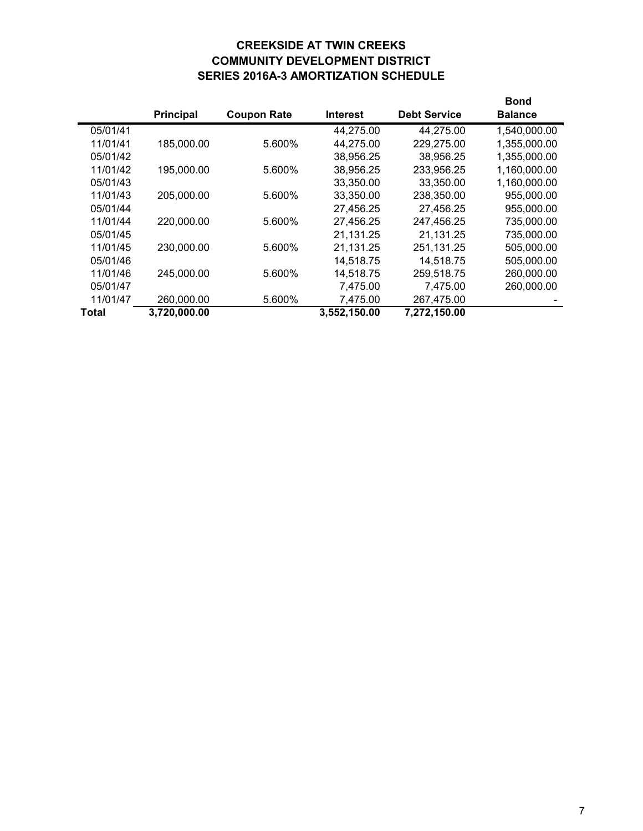# **CREEKSIDE AT TWIN CREEKS COMMUNITY DEVELOPMENT DISTRICT SERIES 2016A-3 AMORTIZATION SCHEDULE**

|          |              |                    |                 |                     | Bond           |
|----------|--------------|--------------------|-----------------|---------------------|----------------|
|          | Principal    | <b>Coupon Rate</b> | <b>Interest</b> | <b>Debt Service</b> | <b>Balance</b> |
| 05/01/41 |              |                    | 44,275.00       | 44,275.00           | 1,540,000.00   |
| 11/01/41 | 185,000.00   | 5.600%             | 44,275.00       | 229,275.00          | 1,355,000.00   |
| 05/01/42 |              |                    | 38,956.25       | 38,956.25           | 1,355,000.00   |
| 11/01/42 | 195,000.00   | 5.600%             | 38,956.25       | 233,956.25          | 1,160,000.00   |
| 05/01/43 |              |                    | 33,350.00       | 33,350.00           | 1,160,000.00   |
| 11/01/43 | 205,000.00   | 5.600%             | 33,350.00       | 238,350.00          | 955,000.00     |
| 05/01/44 |              |                    | 27,456.25       | 27,456.25           | 955,000.00     |
| 11/01/44 | 220,000.00   | 5.600%             | 27,456.25       | 247,456.25          | 735,000.00     |
| 05/01/45 |              |                    | 21,131.25       | 21,131.25           | 735,000.00     |
| 11/01/45 | 230,000.00   | 5.600%             | 21,131.25       | 251,131.25          | 505,000.00     |
| 05/01/46 |              |                    | 14,518.75       | 14,518.75           | 505,000.00     |
| 11/01/46 | 245,000.00   | 5.600%             | 14,518.75       | 259,518.75          | 260,000.00     |
| 05/01/47 |              |                    | 7,475.00        | 7,475.00            | 260,000.00     |
| 11/01/47 | 260,000.00   | 5.600%             | 7,475.00        | 267,475.00          |                |
| Total    | 3,720,000.00 |                    | 3,552,150.00    | 7,272,150.00        |                |